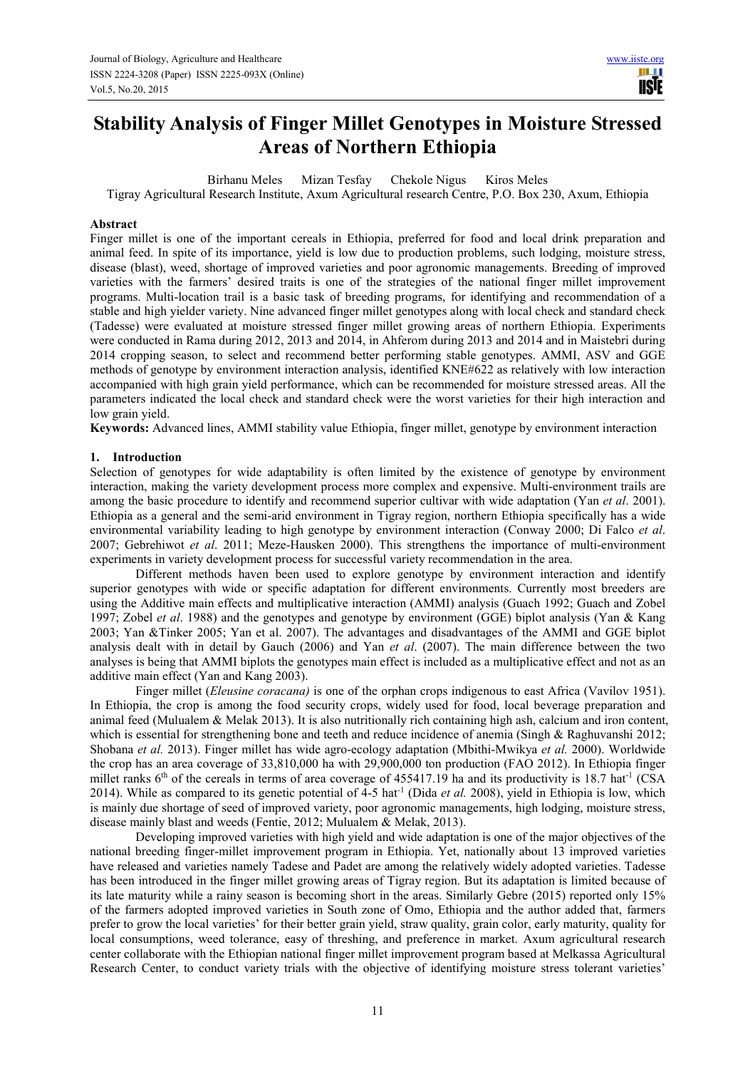# **Stability Analysis of Finger Millet Genotypes in Moisture Stressed Areas of Northern Ethiopia**

Birhanu Meles Mizan Tesfay Chekole Nigus Kiros Meles

Tigray Agricultural Research Institute, Axum Agricultural research Centre, P.O. Box 230, Axum, Ethiopia

#### **Abstract**

Finger millet is one of the important cereals in Ethiopia, preferred for food and local drink preparation and animal feed. In spite of its importance, yield is low due to production problems, such lodging, moisture stress, disease (blast), weed, shortage of improved varieties and poor agronomic managements. Breeding of improved varieties with the farmers' desired traits is one of the strategies of the national finger millet improvement programs. Multi-location trail is a basic task of breeding programs, for identifying and recommendation of a stable and high yielder variety. Nine advanced finger millet genotypes along with local check and standard check (Tadesse) were evaluated at moisture stressed finger millet growing areas of northern Ethiopia. Experiments were conducted in Rama during 2012, 2013 and 2014, in Ahferom during 2013 and 2014 and in Maistebri during 2014 cropping season, to select and recommend better performing stable genotypes. AMMI, ASV and GGE methods of genotype by environment interaction analysis, identified KNE#622 as relatively with low interaction accompanied with high grain yield performance, which can be recommended for moisture stressed areas. All the parameters indicated the local check and standard check were the worst varieties for their high interaction and low grain yield.

**Keywords:** Advanced lines, AMMI stability value Ethiopia, finger millet, genotype by environment interaction

#### **1. Introduction**

Selection of genotypes for wide adaptability is often limited by the existence of genotype by environment interaction, making the variety development process more complex and expensive. Multi-environment trails are among the basic procedure to identify and recommend superior cultivar with wide adaptation (Yan *et al*. 2001). Ethiopia as a general and the semi-arid environment in Tigray region, northern Ethiopia specifically has a wide environmental variability leading to high genotype by environment interaction (Conway 2000; Di Falco *et al*. 2007; Gebrehiwot *et al*. 2011; Meze-Hausken 2000). This strengthens the importance of multi-environment experiments in variety development process for successful variety recommendation in the area.

Different methods haven been used to explore genotype by environment interaction and identify superior genotypes with wide or specific adaptation for different environments. Currently most breeders are using the Additive main effects and multiplicative interaction (AMMI) analysis (Guach 1992; Guach and Zobel 1997; Zobel *et al*. 1988) and the genotypes and genotype by environment (GGE) biplot analysis (Yan & Kang 2003; Yan &Tinker 2005; Yan et al. 2007). The advantages and disadvantages of the AMMI and GGE biplot analysis dealt with in detail by Gauch (2006) and Yan *et al*. (2007). The main difference between the two analyses is being that AMMI biplots the genotypes main effect is included as a multiplicative effect and not as an additive main effect (Yan and Kang 2003).

Finger millet (*Eleusine coracana)* is one of the orphan crops indigenous to east Africa (Vavilov 1951). In Ethiopia, the crop is among the food security crops, widely used for food, local beverage preparation and animal feed (Mulualem  $\&$  Melak 2013). It is also nutritionally rich containing high ash, calcium and iron content, which is essential for strengthening bone and teeth and reduce incidence of anemia (Singh & Raghuvanshi 2012; Shobana *et al.* 2013). Finger millet has wide agro-ecology adaptation (Mbithi-Mwikya *et al.* 2000). Worldwide the crop has an area coverage of 33,810,000 ha with 29,900,000 ton production (FAO 2012). In Ethiopia finger millet ranks  $6<sup>th</sup>$  of the cereals in terms of area coverage of 455417.19 ha and its productivity is 18.7 hat<sup>-1</sup> (CSA) 2014). While as compared to its genetic potential of 4-5 hat-1 (Dida *et al.* 2008), yield in Ethiopia is low, which is mainly due shortage of seed of improved variety, poor agronomic managements, high lodging, moisture stress, disease mainly blast and weeds (Fentie, 2012; Mulualem & Melak, 2013).

Developing improved varieties with high yield and wide adaptation is one of the major objectives of the national breeding finger-millet improvement program in Ethiopia. Yet, nationally about 13 improved varieties have released and varieties namely Tadese and Padet are among the relatively widely adopted varieties. Tadesse has been introduced in the finger millet growing areas of Tigray region. But its adaptation is limited because of its late maturity while a rainy season is becoming short in the areas. Similarly Gebre (2015) reported only 15% of the farmers adopted improved varieties in South zone of Omo, Ethiopia and the author added that, farmers prefer to grow the local varieties' for their better grain yield, straw quality, grain color, early maturity, quality for local consumptions, weed tolerance, easy of threshing, and preference in market. Axum agricultural research center collaborate with the Ethiopian national finger millet improvement program based at Melkassa Agricultural Research Center, to conduct variety trials with the objective of identifying moisture stress tolerant varieties'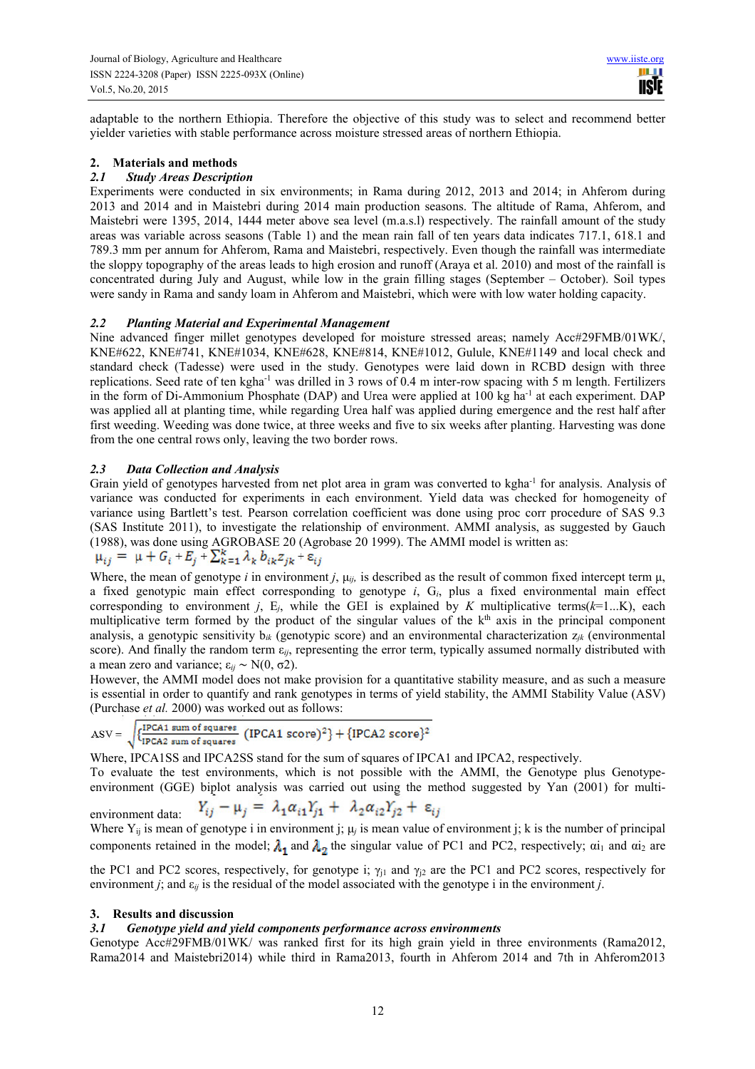adaptable to the northern Ethiopia. Therefore the objective of this study was to select and recommend better yielder varieties with stable performance across moisture stressed areas of northern Ethiopia.

## **2. Materials and methods**

## *2.1 Study Areas Description*

Experiments were conducted in six environments; in Rama during 2012, 2013 and 2014; in Ahferom during 2013 and 2014 and in Maistebri during 2014 main production seasons. The altitude of Rama, Ahferom, and Maistebri were 1395, 2014, 1444 meter above sea level (m.a.s.l) respectively. The rainfall amount of the study areas was variable across seasons (Table 1) and the mean rain fall of ten years data indicates 717.1, 618.1 and 789.3 mm per annum for Ahferom, Rama and Maistebri, respectively. Even though the rainfall was intermediate the sloppy topography of the areas leads to high erosion and runoff (Araya et al. 2010) and most of the rainfall is concentrated during July and August, while low in the grain filling stages (September – October). Soil types were sandy in Rama and sandy loam in Ahferom and Maistebri, which were with low water holding capacity.

#### *2.2 Planting Material and Experimental Management*

Nine advanced finger millet genotypes developed for moisture stressed areas; namely Acc#29FMB/01WK/, KNE#622, KNE#741, KNE#1034, KNE#628, KNE#814, KNE#1012, Gulule, KNE#1149 and local check and standard check (Tadesse) were used in the study. Genotypes were laid down in RCBD design with three replications. Seed rate of ten kgha-1 was drilled in 3 rows of 0.4 m inter-row spacing with 5 m length. Fertilizers in the form of Di-Ammonium Phosphate (DAP) and Urea were applied at 100 kg ha<sup>-1</sup> at each experiment. DAP was applied all at planting time, while regarding Urea half was applied during emergence and the rest half after first weeding. Weeding was done twice, at three weeks and five to six weeks after planting. Harvesting was done from the one central rows only, leaving the two border rows.

# *2.3 Data Collection and Analysis*

Grain yield of genotypes harvested from net plot area in gram was converted to kgha<sup>-1</sup> for analysis. Analysis of variance was conducted for experiments in each environment. Yield data was checked for homogeneity of variance using Bartlett's test. Pearson correlation coefficient was done using proc corr procedure of SAS 9.3 (SAS Institute 2011), to investigate the relationship of environment. AMMI analysis, as suggested by Gauch (1988), was done using AGROBASE 20 (Agrobase 20 1999). The AMMI model is written as:

$$
\mu_{ij} = \mu + G_i + E_j + \sum_{k=1}^{\kappa} \lambda_k b_{ik} z_{jk} + \varepsilon_{ij}
$$

Where, the mean of genotype *i* in environment *j*,  $\mu_{ij}$ , is described as the result of common fixed intercept term  $\mu$ , a fixed genotypic main effect corresponding to genotype *i*, G*i*, plus a fixed environmental main effect corresponding to environment *j*,  $E_i$ , while the GEI is explained by *K* multiplicative terms( $k=1...K$ ), each multiplicative term formed by the product of the singular values of the  $k<sup>th</sup>$  axis in the principal component analysis, a genotypic sensitivity b*ik* (genotypic score) and an environmental characterization z*jk* (environmental score). And finally the random term  $\varepsilon_{ij}$ , representing the error term, typically assumed normally distributed with a mean zero and variance;  $\varepsilon_{ij} \sim N(0, \sigma^2)$ .

However, the AMMI model does not make provision for a quantitative stability measure, and as such a measure is essential in order to quantify and rank genotypes in terms of yield stability, the AMMI Stability Value (ASV) (Purchase *et al.* 2000) was worked out as follows:

$$
\text{ASV} = \sqrt{\{\frac{\text{IPCA1 sum of squares}}{\text{IPCA2 sum of squares}} \ (\text{IPCA1 score})^2\} + \{\text{IPCA2 score}\}^2}
$$

Where, IPCA1SS and IPCA2SS stand for the sum of squares of IPCA1 and IPCA2, respectively. To evaluate the test environments, which is not possible with the AMMI, the Genotype plus Genotypeenvironment (GGE) biplot analysis was carried out using the method suggested by Yan (2001) for multi-

 $Y_{ij} - \mu_j = \lambda_1 \alpha_{i1} Y_{j1} + \lambda_2 \alpha_{i2} Y_{j2} + \varepsilon_{ij}$ environment data: Where  $Y_{ij}$  is mean of genotype i in environment j;  $\mu_j$  is mean value of environment j; k is the number of principal components retained in the model;  $\lambda_1$  and  $\lambda_2$  the singular value of PC1 and PC2, respectively;  $\alpha i_1$  and  $\alpha i_2$  are

the PC1 and PC2 scores, respectively, for genotype i;  $\gamma_{11}$  and  $\gamma_{12}$  are the PC1 and PC2 scores, respectively for environment *j*; and ε*ij* is the residual of the model associated with the genotype i in the environment *j*.

#### **3. Results and discussion**

#### *3.1 Genotype yield and yield components performance across environments*

Genotype Acc#29FMB/01WK/ was ranked first for its high grain yield in three environments (Rama2012, Rama2014 and Maistebri2014) while third in Rama2013, fourth in Ahferom 2014 and 7th in Ahferom2013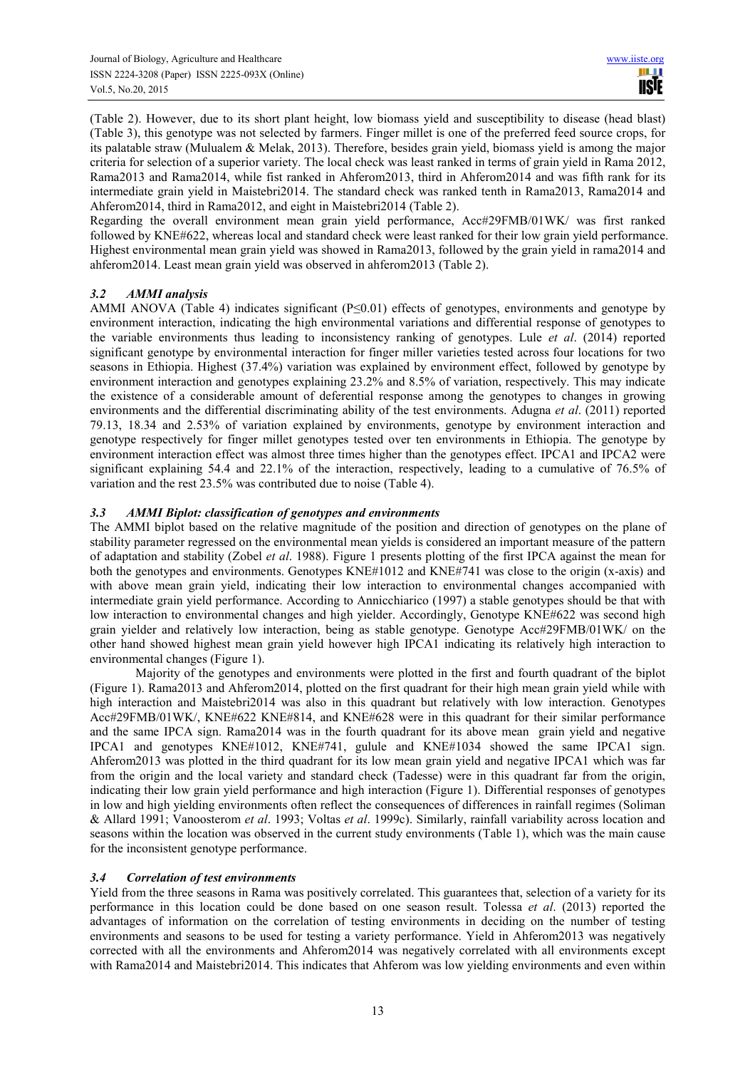(Table 2). However, due to its short plant height, low biomass yield and susceptibility to disease (head blast) (Table 3), this genotype was not selected by farmers. Finger millet is one of the preferred feed source crops, for its palatable straw (Mulualem & Melak, 2013). Therefore, besides grain yield, biomass yield is among the major criteria for selection of a superior variety. The local check was least ranked in terms of grain yield in Rama 2012, Rama2013 and Rama2014, while fist ranked in Ahferom2013, third in Ahferom2014 and was fifth rank for its intermediate grain yield in Maistebri2014. The standard check was ranked tenth in Rama2013, Rama2014 and Ahferom2014, third in Rama2012, and eight in Maistebri2014 (Table 2).

Regarding the overall environment mean grain yield performance, Acc#29FMB/01WK/ was first ranked followed by KNE#622, whereas local and standard check were least ranked for their low grain yield performance. Highest environmental mean grain yield was showed in Rama2013, followed by the grain yield in rama2014 and ahferom2014. Least mean grain yield was observed in ahferom2013 (Table 2).

# *3.2 AMMI analysis*

AMMI ANOVA (Table 4) indicates significant (P≤0.01) effects of genotypes, environments and genotype by environment interaction, indicating the high environmental variations and differential response of genotypes to the variable environments thus leading to inconsistency ranking of genotypes. Lule *et al*. (2014) reported significant genotype by environmental interaction for finger miller varieties tested across four locations for two seasons in Ethiopia. Highest (37.4%) variation was explained by environment effect, followed by genotype by environment interaction and genotypes explaining 23.2% and 8.5% of variation, respectively. This may indicate the existence of a considerable amount of deferential response among the genotypes to changes in growing environments and the differential discriminating ability of the test environments. Adugna *et al*. (2011) reported 79.13, 18.34 and 2.53% of variation explained by environments, genotype by environment interaction and genotype respectively for finger millet genotypes tested over ten environments in Ethiopia. The genotype by environment interaction effect was almost three times higher than the genotypes effect. IPCA1 and IPCA2 were significant explaining 54.4 and 22.1% of the interaction, respectively, leading to a cumulative of 76.5% of variation and the rest 23.5% was contributed due to noise (Table 4).

# *3.3 AMMI Biplot: classification of genotypes and environments*

The AMMI biplot based on the relative magnitude of the position and direction of genotypes on the plane of stability parameter regressed on the environmental mean yields is considered an important measure of the pattern of adaptation and stability (Zobel *et al*. 1988). Figure 1 presents plotting of the first IPCA against the mean for both the genotypes and environments. Genotypes KNE#1012 and KNE#741 was close to the origin (x-axis) and with above mean grain yield, indicating their low interaction to environmental changes accompanied with intermediate grain yield performance. According to Annicchiarico (1997) a stable genotypes should be that with low interaction to environmental changes and high yielder. Accordingly, Genotype KNE#622 was second high grain yielder and relatively low interaction, being as stable genotype. Genotype Acc#29FMB/01WK/ on the other hand showed highest mean grain yield however high IPCA1 indicating its relatively high interaction to environmental changes (Figure 1).

Majority of the genotypes and environments were plotted in the first and fourth quadrant of the biplot (Figure 1). Rama2013 and Ahferom2014, plotted on the first quadrant for their high mean grain yield while with high interaction and Maistebri2014 was also in this quadrant but relatively with low interaction. Genotypes Acc#29FMB/01WK/, KNE#622 KNE#814, and KNE#628 were in this quadrant for their similar performance and the same IPCA sign. Rama2014 was in the fourth quadrant for its above mean grain yield and negative IPCA1 and genotypes KNE#1012, KNE#741, gulule and KNE#1034 showed the same IPCA1 sign. Ahferom2013 was plotted in the third quadrant for its low mean grain yield and negative IPCA1 which was far from the origin and the local variety and standard check (Tadesse) were in this quadrant far from the origin, indicating their low grain yield performance and high interaction (Figure 1). Differential responses of genotypes in low and high yielding environments often reflect the consequences of differences in rainfall regimes (Soliman & Allard 1991; Vanoosterom *et al*. 1993; Voltas *et al*. 1999c). Similarly, rainfall variability across location and seasons within the location was observed in the current study environments (Table 1), which was the main cause for the inconsistent genotype performance.

#### *3.4 Correlation of test environments*

Yield from the three seasons in Rama was positively correlated. This guarantees that, selection of a variety for its performance in this location could be done based on one season result. Tolessa *et al*. (2013) reported the advantages of information on the correlation of testing environments in deciding on the number of testing environments and seasons to be used for testing a variety performance. Yield in Ahferom2013 was negatively corrected with all the environments and Ahferom2014 was negatively correlated with all environments except with Rama2014 and Maistebri2014. This indicates that Ahferom was low yielding environments and even within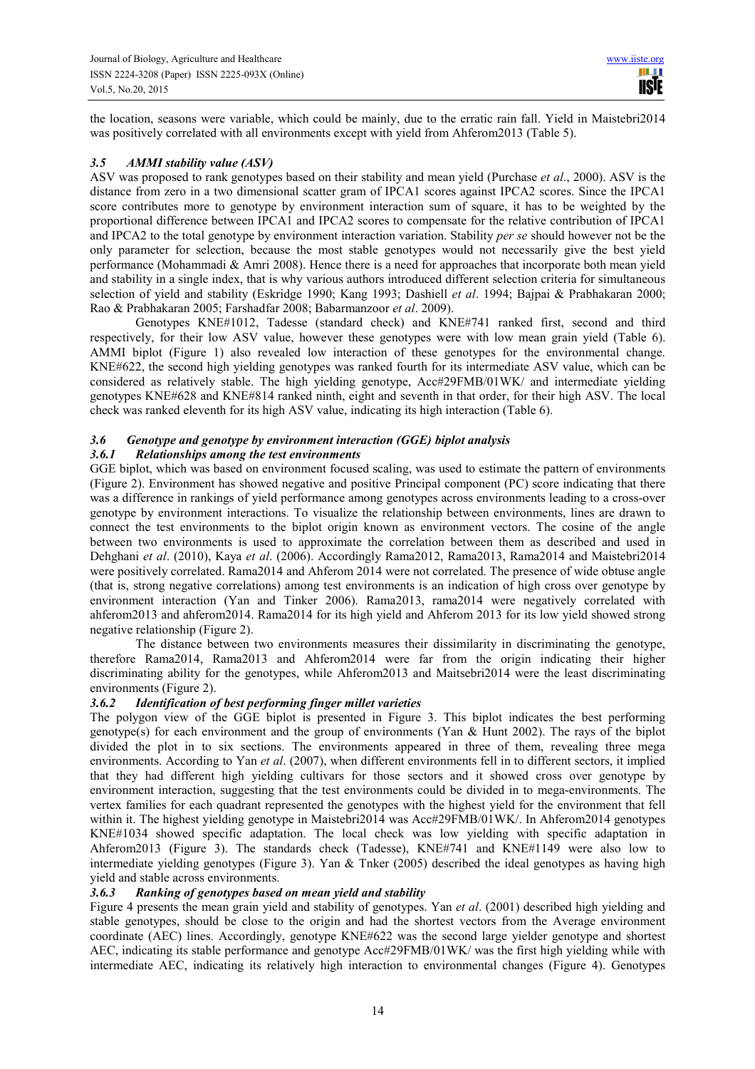the location, seasons were variable, which could be mainly, due to the erratic rain fall. Yield in Maistebri2014 was positively correlated with all environments except with yield from Ahferom2013 (Table 5).

# *3.5 AMMI stability value (ASV)*

ASV was proposed to rank genotypes based on their stability and mean yield (Purchase *et al*., 2000). ASV is the distance from zero in a two dimensional scatter gram of IPCA1 scores against IPCA2 scores. Since the IPCA1 score contributes more to genotype by environment interaction sum of square, it has to be weighted by the proportional difference between IPCA1 and IPCA2 scores to compensate for the relative contribution of IPCA1 and IPCA2 to the total genotype by environment interaction variation. Stability *per se* should however not be the only parameter for selection, because the most stable genotypes would not necessarily give the best yield performance (Mohammadi & Amri 2008). Hence there is a need for approaches that incorporate both mean yield and stability in a single index, that is why various authors introduced different selection criteria for simultaneous selection of yield and stability (Eskridge 1990; Kang 1993; Dashiell *et al*. 1994; Bajpai & Prabhakaran 2000; Rao & Prabhakaran 2005; Farshadfar 2008; Babarmanzoor *et al*. 2009).

Genotypes KNE#1012, Tadesse (standard check) and KNE#741 ranked first, second and third respectively, for their low ASV value, however these genotypes were with low mean grain yield (Table 6). AMMI biplot (Figure 1) also revealed low interaction of these genotypes for the environmental change. KNE#622, the second high yielding genotypes was ranked fourth for its intermediate ASV value, which can be considered as relatively stable. The high yielding genotype, Acc#29FMB/01WK/ and intermediate yielding genotypes KNE#628 and KNE#814 ranked ninth, eight and seventh in that order, for their high ASV. The local check was ranked eleventh for its high ASV value, indicating its high interaction (Table 6).

#### *3.6 Genotype and genotype by environment interaction (GGE) biplot analysis*

# *3.6.1 Relationships among the test environments*

GGE biplot, which was based on environment focused scaling, was used to estimate the pattern of environments (Figure 2). Environment has showed negative and positive Principal component (PC) score indicating that there was a difference in rankings of yield performance among genotypes across environments leading to a cross-over genotype by environment interactions. To visualize the relationship between environments, lines are drawn to connect the test environments to the biplot origin known as environment vectors. The cosine of the angle between two environments is used to approximate the correlation between them as described and used in Dehghani *et al*. (2010), Kaya *et al*. (2006). Accordingly Rama2012, Rama2013, Rama2014 and Maistebri2014 were positively correlated. Rama2014 and Ahferom 2014 were not correlated. The presence of wide obtuse angle (that is, strong negative correlations) among test environments is an indication of high cross over genotype by environment interaction (Yan and Tinker 2006). Rama2013, rama2014 were negatively correlated with ahferom2013 and ahferom2014. Rama2014 for its high yield and Ahferom 2013 for its low yield showed strong negative relationship (Figure 2).

The distance between two environments measures their dissimilarity in discriminating the genotype, therefore Rama2014, Rama2013 and Ahferom2014 were far from the origin indicating their higher discriminating ability for the genotypes, while Ahferom2013 and Maitsebri2014 were the least discriminating environments (Figure 2).

# *3.6.2 Identification of best performing finger millet varieties*

The polygon view of the GGE biplot is presented in Figure 3. This biplot indicates the best performing genotype(s) for each environment and the group of environments (Yan & Hunt 2002). The rays of the biplot divided the plot in to six sections. The environments appeared in three of them, revealing three mega environments. According to Yan *et al*. (2007), when different environments fell in to different sectors, it implied that they had different high yielding cultivars for those sectors and it showed cross over genotype by environment interaction, suggesting that the test environments could be divided in to mega-environments. The vertex families for each quadrant represented the genotypes with the highest yield for the environment that fell within it. The highest yielding genotype in Maistebri2014 was Acc#29FMB/01WK/. In Ahferom2014 genotypes KNE#1034 showed specific adaptation. The local check was low yielding with specific adaptation in Ahferom2013 (Figure 3). The standards check (Tadesse), KNE#741 and KNE#1149 were also low to intermediate yielding genotypes (Figure 3). Yan & Tnker (2005) described the ideal genotypes as having high yield and stable across environments.

# *3.6.3 Ranking of genotypes based on mean yield and stability*

Figure 4 presents the mean grain yield and stability of genotypes. Yan *et al*. (2001) described high yielding and stable genotypes, should be close to the origin and had the shortest vectors from the Average environment coordinate (AEC) lines. Accordingly, genotype KNE#622 was the second large yielder genotype and shortest AEC, indicating its stable performance and genotype Acc#29FMB/01WK/ was the first high yielding while with intermediate AEC, indicating its relatively high interaction to environmental changes (Figure 4). Genotypes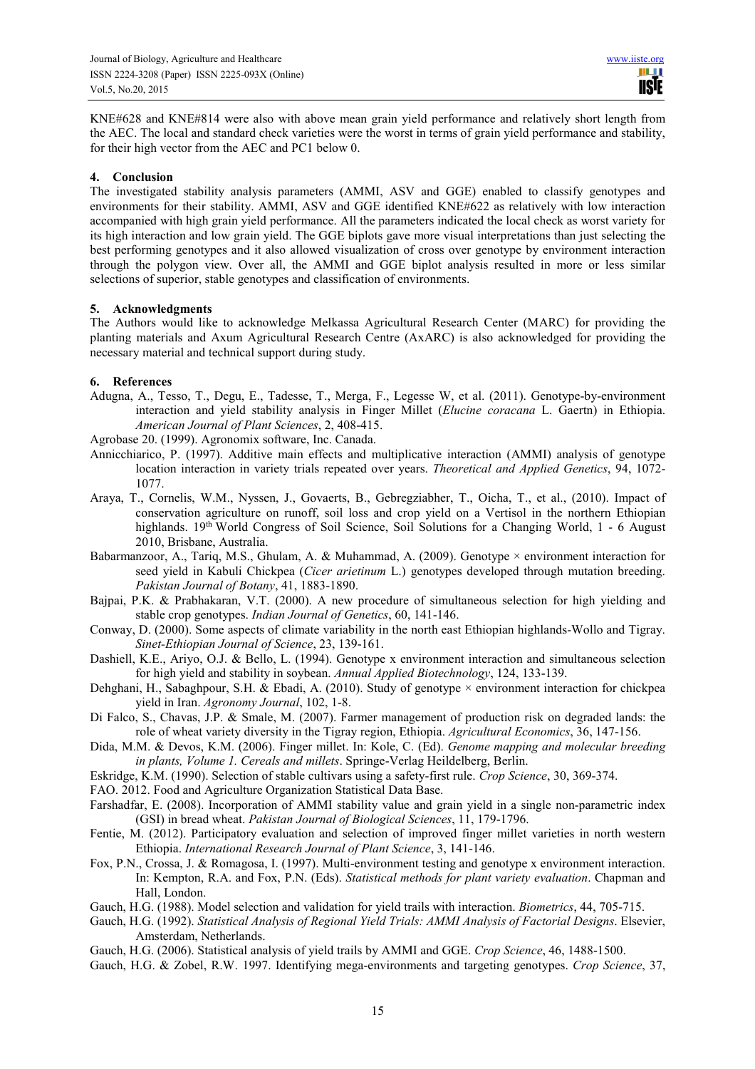KNE#628 and KNE#814 were also with above mean grain yield performance and relatively short length from the AEC. The local and standard check varieties were the worst in terms of grain yield performance and stability, for their high vector from the AEC and PC1 below 0.

## **4. Conclusion**

The investigated stability analysis parameters (AMMI, ASV and GGE) enabled to classify genotypes and environments for their stability. AMMI, ASV and GGE identified KNE#622 as relatively with low interaction accompanied with high grain yield performance. All the parameters indicated the local check as worst variety for its high interaction and low grain yield. The GGE biplots gave more visual interpretations than just selecting the best performing genotypes and it also allowed visualization of cross over genotype by environment interaction through the polygon view. Over all, the AMMI and GGE biplot analysis resulted in more or less similar selections of superior, stable genotypes and classification of environments.

#### **5. Acknowledgments**

The Authors would like to acknowledge Melkassa Agricultural Research Center (MARC) for providing the planting materials and Axum Agricultural Research Centre (AxARC) is also acknowledged for providing the necessary material and technical support during study.

# **6. References**

Adugna, A., Tesso, T., Degu, E., Tadesse, T., Merga, F., Legesse W, et al. (2011). Genotype-by-environment interaction and yield stability analysis in Finger Millet (*Elucine coracana* L. Gaertn) in Ethiopia. *American Journal of Plant Sciences*, 2, 408-415.

Agrobase 20. (1999). Agronomix software, Inc. Canada.

- Annicchiarico, P. (1997). Additive main effects and multiplicative interaction (AMMI) analysis of genotype location interaction in variety trials repeated over years. *Theoretical and Applied Genetics*, 94, 1072- 1077.
- Araya, T., Cornelis, W.M., Nyssen, J., Govaerts, B., Gebregziabher, T., Oicha, T., et al., (2010). Impact of conservation agriculture on runoff, soil loss and crop yield on a Vertisol in the northern Ethiopian highlands. 19<sup>th</sup> World Congress of Soil Science, Soil Solutions for a Changing World, 1 - 6 August 2010, Brisbane, Australia.
- Babarmanzoor, A., Tariq, M.S., Ghulam, A. & Muhammad, A. (2009). Genotype × environment interaction for seed yield in Kabuli Chickpea (*Cicer arietinum* L.) genotypes developed through mutation breeding. *Pakistan Journal of Botany*, 41, 1883-1890.
- Bajpai, P.K. & Prabhakaran, V.T. (2000). A new procedure of simultaneous selection for high yielding and stable crop genotypes. *Indian Journal of Genetics*, 60, 141-146.
- Conway, D. (2000). Some aspects of climate variability in the north east Ethiopian highlands-Wollo and Tigray. *Sinet-Ethiopian Journal of Science*, 23, 139-161.
- Dashiell, K.E., Ariyo, O.J. & Bello, L. (1994). Genotype x environment interaction and simultaneous selection for high yield and stability in soybean. *Annual Applied Biotechnology*, 124, 133-139.
- Dehghani, H., Sabaghpour, S.H. & Ebadi, A. (2010). Study of genotype × environment interaction for chickpea yield in Iran. *Agronomy Journal*, 102, 1-8.
- Di Falco, S., Chavas, J.P. & Smale, M. (2007). Farmer management of production risk on degraded lands: the role of wheat variety diversity in the Tigray region, Ethiopia. *Agricultural Economics*, 36, 147-156.
- Dida, M.M. & Devos, K.M. (2006). Finger millet. In: Kole, C. (Ed). *Genome mapping and molecular breeding in plants, Volume 1. Cereals and millets*. Springe-Verlag Heildelberg, Berlin.
- Eskridge, K.M. (1990). Selection of stable cultivars using a safety-first rule. *Crop Science*, 30, 369-374.
- FAO. 2012. Food and Agriculture Organization Statistical Data Base.
- Farshadfar, E. (2008). Incorporation of AMMI stability value and grain yield in a single non-parametric index (GSI) in bread wheat. *Pakistan Journal of Biological Sciences*, 11, 179-1796.
- Fentie, M. (2012). Participatory evaluation and selection of improved finger millet varieties in north western Ethiopia. *International Research Journal of Plant Science*, 3, 141-146.
- Fox, P.N., Crossa, J. & Romagosa, I. (1997). Multi-environment testing and genotype x environment interaction. In: Kempton, R.A. and Fox, P.N. (Eds). *Statistical methods for plant variety evaluation*. Chapman and Hall, London.
- Gauch, H.G. (1988). Model selection and validation for yield trails with interaction. *Biometrics*, 44, 705-715.
- Gauch, H.G. (1992). *Statistical Analysis of Regional Yield Trials: AMMI Analysis of Factorial Designs*. Elsevier, Amsterdam, Netherlands.
- Gauch, H.G. (2006). Statistical analysis of yield trails by AMMI and GGE. *Crop Science*, 46, 1488-1500.
- Gauch, H.G. & Zobel, R.W. 1997. Identifying mega-environments and targeting genotypes. *Crop Science*, 37,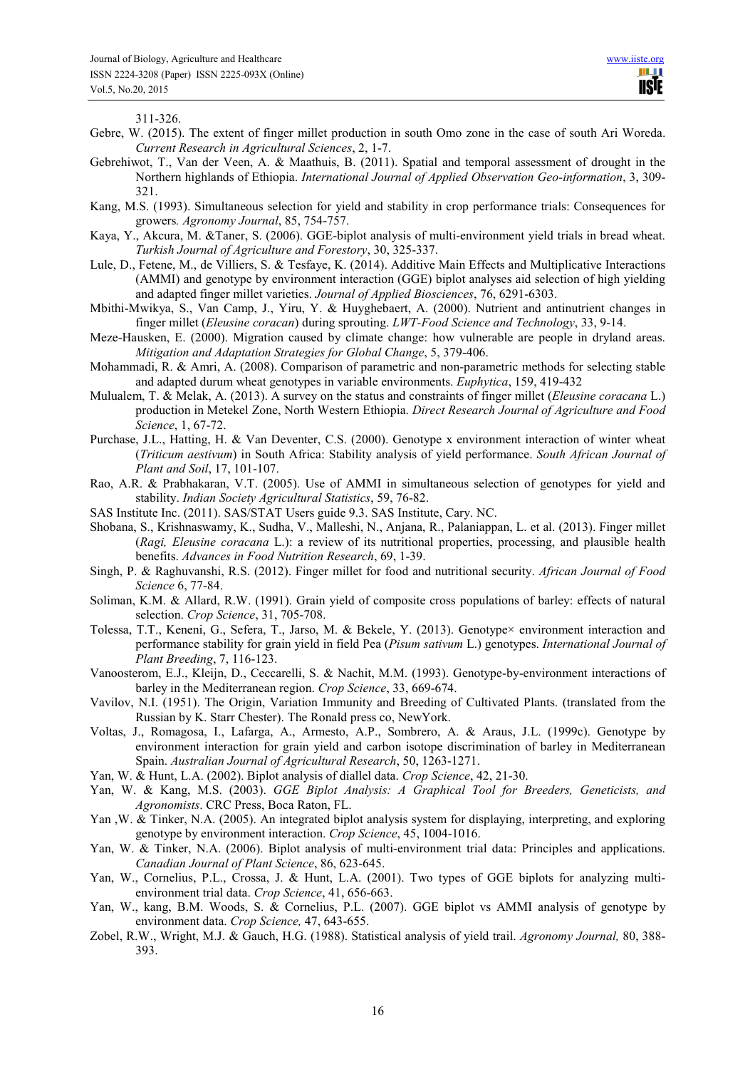311-326.

- Gebre, W. (2015). The extent of finger millet production in south Omo zone in the case of south Ari Woreda. *Current Research in Agricultural Sciences*, 2, 1-7.
- Gebrehiwot, T., Van der Veen, A. & Maathuis, B. (2011). Spatial and temporal assessment of drought in the Northern highlands of Ethiopia. *International Journal of Applied Observation Geo-information*, 3, 309- 321.
- Kang, M.S. (1993). Simultaneous selection for yield and stability in crop performance trials: Consequences for growers*. Agronomy Journal*, 85, 754-757.
- Kaya, Y., Akcura, M. &Taner, S. (2006). GGE-biplot analysis of multi-environment yield trials in bread wheat. *Turkish Journal of Agriculture and Forestory*, 30, 325-337.
- Lule, D., Fetene, M., de Villiers, S. & Tesfaye, K. (2014). Additive Main Effects and Multiplicative Interactions (AMMI) and genotype by environment interaction (GGE) biplot analyses aid selection of high yielding and adapted finger millet varieties. *Journal of Applied Biosciences*, 76, 6291-6303.
- Mbithi-Mwikya, S., Van Camp, J., Yiru, Y. & Huyghebaert, A. (2000). Nutrient and antinutrient changes in finger millet (*Eleusine coracan*) during sprouting. *LWT-Food Science and Technology*, 33, 9-14.
- Meze-Hausken, E. (2000). Migration caused by climate change: how vulnerable are people in dryland areas. *Mitigation and Adaptation Strategies for Global Change*, 5, 379-406.
- Mohammadi, R. & Amri, A. (2008). Comparison of parametric and non-parametric methods for selecting stable and adapted durum wheat genotypes in variable environments. *Euphytica*, 159, 419-432
- Mulualem, T. & Melak, A. (2013). A survey on the status and constraints of finger millet (*Eleusine coracana* L.) production in Metekel Zone, North Western Ethiopia. *Direct Research Journal of Agriculture and Food Science*, 1, 67-72.
- Purchase, J.L., Hatting, H. & Van Deventer, C.S. (2000). Genotype x environment interaction of winter wheat (*Triticum aestivum*) in South Africa: Stability analysis of yield performance. *South African Journal of Plant and Soil*, 17, 101-107.
- Rao, A.R. & Prabhakaran, V.T. (2005). Use of AMMI in simultaneous selection of genotypes for yield and stability. *Indian Society Agricultural Statistics*, 59, 76-82.
- SAS Institute Inc. (2011). SAS/STAT Users guide 9.3. SAS Institute, Cary. NC.
- Shobana, S., Krishnaswamy, K., Sudha, V., Malleshi, N., Anjana, R., Palaniappan, L. et al. (2013). Finger millet (*Ragi, Eleusine coracana* L.): a review of its nutritional properties, processing, and plausible health benefits. *Advances in Food Nutrition Research*, 69, 1-39.
- Singh, P. & Raghuvanshi, R.S. (2012). Finger millet for food and nutritional security. *African Journal of Food Science* 6, 77-84.
- Soliman, K.M. & Allard, R.W. (1991). Grain yield of composite cross populations of barley: effects of natural selection. *Crop Science*, 31, 705-708.
- Tolessa, T.T., Keneni, G., Sefera, T., Jarso, M. & Bekele, Y. (2013). Genotype× environment interaction and performance stability for grain yield in field Pea (*Pisum sativum* L.) genotypes. *International Journal of Plant Breeding*, 7, 116-123.
- Vanoosterom, E.J., Kleijn, D., Ceccarelli, S. & Nachit, M.M. (1993). Genotype-by-environment interactions of barley in the Mediterranean region. *Crop Science*, 33, 669-674.
- Vavilov, N.I. (1951). The Origin, Variation Immunity and Breeding of Cultivated Plants. (translated from the Russian by K. Starr Chester). The Ronald press co, NewYork.
- Voltas, J., Romagosa, I., Lafarga, A., Armesto, A.P., Sombrero, A. & Araus, J.L. (1999c). Genotype by environment interaction for grain yield and carbon isotope discrimination of barley in Mediterranean Spain. *Australian Journal of Agricultural Research*, 50, 1263-1271.
- Yan, W. & Hunt, L.A. (2002). Biplot analysis of diallel data. *Crop Science*, 42, 21-30.
- Yan, W. & Kang, M.S. (2003). *GGE Biplot Analysis: A Graphical Tool for Breeders, Geneticists, and Agronomists*. CRC Press, Boca Raton, FL.
- Yan ,W. & Tinker, N.A. (2005). An integrated biplot analysis system for displaying, interpreting, and exploring genotype by environment interaction. *Crop Science*, 45, 1004-1016.
- Yan, W. & Tinker, N.A. (2006). Biplot analysis of multi-environment trial data: Principles and applications. *Canadian Journal of Plant Science*, 86, 623-645.
- Yan, W., Cornelius, P.L., Crossa, J. & Hunt, L.A. (2001). Two types of GGE biplots for analyzing multienvironment trial data. *Crop Science*, 41, 656-663.
- Yan, W., kang, B.M. Woods, S. & Cornelius, P.L. (2007). GGE biplot vs AMMI analysis of genotype by environment data. *Crop Science,* 47, 643-655.
- Zobel, R.W., Wright, M.J. & Gauch, H.G. (1988). Statistical analysis of yield trail. *Agronomy Journal,* 80, 388- 393.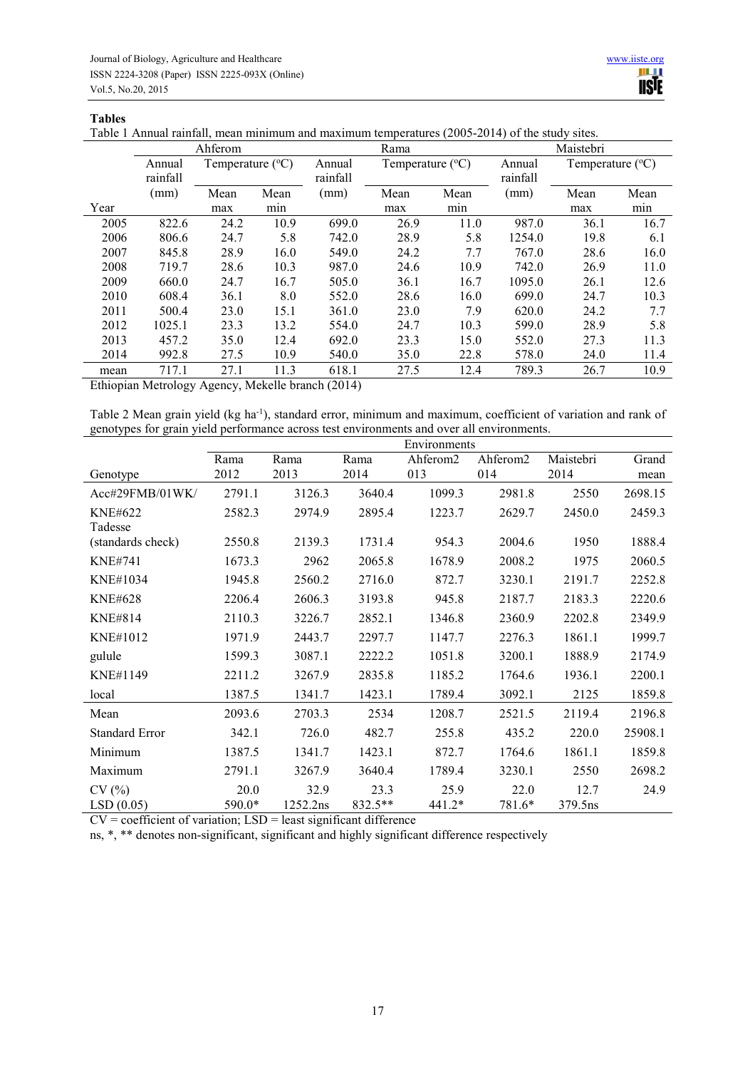#### **Tables**

Table 1 Annual rainfall, mean minimum and maximum temperatures (2005-2014) of the study sites.

|      | Ahferom  |                           |      |          | Rama                      |      |          | Maistebri                 |      |  |
|------|----------|---------------------------|------|----------|---------------------------|------|----------|---------------------------|------|--|
|      | Annual   | Temperature $(^{\circ}C)$ |      | Annual   | Temperature $(^{\circ}C)$ |      | Annual   | Temperature $(^{\circ}C)$ |      |  |
|      | rainfall |                           |      | rainfall |                           |      | rainfall |                           |      |  |
|      | (mm)     | Mean                      | Mean | (mm)     | Mean                      | Mean | (mm)     | Mean                      | Mean |  |
| Year |          | max                       | min  |          | max                       | mın  |          | max                       | min  |  |
| 2005 | 822.6    | 24.2                      | 10.9 | 699.0    | 26.9                      | 11.0 | 987.0    | 36.1                      | 16.7 |  |
| 2006 | 806.6    | 24.7                      | 5.8  | 742.0    | 28.9                      | 5.8  | 1254.0   | 19.8                      | 6.1  |  |
| 2007 | 845.8    | 28.9                      | 16.0 | 549.0    | 24.2                      | 7.7  | 767.0    | 28.6                      | 16.0 |  |
| 2008 | 719.7    | 28.6                      | 10.3 | 987.0    | 24.6                      | 10.9 | 742.0    | 26.9                      | 11.0 |  |
| 2009 | 660.0    | 24.7                      | 16.7 | 505.0    | 36.1                      | 16.7 | 1095.0   | 26.1                      | 12.6 |  |
| 2010 | 608.4    | 36.1                      | 8.0  | 552.0    | 28.6                      | 16.0 | 699.0    | 24.7                      | 10.3 |  |
| 2011 | 500.4    | 23.0                      | 15.1 | 361.0    | 23.0                      | 7.9  | 620.0    | 24.2                      | 7.7  |  |
| 2012 | 1025.1   | 23.3                      | 13.2 | 554.0    | 24.7                      | 10.3 | 599.0    | 28.9                      | 5.8  |  |
| 2013 | 457.2    | 35.0                      | 12.4 | 692.0    | 23.3                      | 15.0 | 552.0    | 27.3                      | 11.3 |  |
| 2014 | 992.8    | 27.5                      | 10.9 | 540.0    | 35.0                      | 22.8 | 578.0    | 24.0                      | 11.4 |  |
| mean | 717.1    | 27.1                      | 11.3 | 618.1    | 27.5                      | 12.4 | 789.3    | 26.7                      | 10.9 |  |

Ethiopian Metrology Agency, Mekelle branch (2014)

Table 2 Mean grain yield (kg ha-1), standard error, minimum and maximum, coefficient of variation and rank of genotypes for grain yield performance across test environments and over all environments.

|                           | Environments   |                  |                   |                      |                |                 |         |
|---------------------------|----------------|------------------|-------------------|----------------------|----------------|-----------------|---------|
|                           | Rama           | Rama             | Rama              | Ahferom <sub>2</sub> | Ahferom2       | Maistebri       | Grand   |
| Genotype                  | 2012           | 2013             | 2014              | 013                  | 014            | 2014            | mean    |
| Acc#29FMB/01WK/           | 2791.1         | 3126.3           | 3640.4            | 1099.3               | 2981.8         | 2550            | 2698.15 |
| <b>KNE#622</b><br>Tadesse | 2582.3         | 2974.9           | 2895.4            | 1223.7               | 2629.7         | 2450.0          | 2459.3  |
| (standards check)         | 2550.8         | 2139.3           | 1731.4            | 954.3                | 2004.6         | 1950            | 1888.4  |
| <b>KNE#741</b>            | 1673.3         | 2962             | 2065.8            | 1678.9               | 2008.2         | 1975            | 2060.5  |
| <b>KNE#1034</b>           | 1945.8         | 2560.2           | 2716.0            | 872.7                | 3230.1         | 2191.7          | 2252.8  |
| <b>KNE#628</b>            | 2206.4         | 2606.3           | 3193.8            | 945.8                | 2187.7         | 2183.3          | 2220.6  |
| KNE#814                   | 2110.3         | 3226.7           | 2852.1            | 1346.8               | 2360.9         | 2202.8          | 2349.9  |
| KNE#1012                  | 1971.9         | 2443.7           | 2297.7            | 1147.7               | 2276.3         | 1861.1          | 1999.7  |
| gulule                    | 1599.3         | 3087.1           | 2222.2            | 1051.8               | 3200.1         | 1888.9          | 2174.9  |
| KNE#1149                  | 2211.2         | 3267.9           | 2835.8            | 1185.2               | 1764.6         | 1936.1          | 2200.1  |
| local                     | 1387.5         | 1341.7           | 1423.1            | 1789.4               | 3092.1         | 2125            | 1859.8  |
| Mean                      | 2093.6         | 2703.3           | 2534              | 1208.7               | 2521.5         | 2119.4          | 2196.8  |
| <b>Standard Error</b>     | 342.1          | 726.0            | 482.7             | 255.8                | 435.2          | 220.0           | 25908.1 |
| Minimum                   | 1387.5         | 1341.7           | 1423.1            | 872.7                | 1764.6         | 1861.1          | 1859.8  |
| Maximum                   | 2791.1         | 3267.9           | 3640.4            | 1789.4               | 3230.1         | 2550            | 2698.2  |
| CV(%)<br>LSD(0.05)        | 20.0<br>590.0* | 32.9<br>1252.2ns | 23.3<br>$832.5**$ | 25.9<br>441.2*       | 22.0<br>781.6* | 12.7<br>379.5ns | 24.9    |

 $CV = coefficient of variation; LSD = least significant difference$ 

ns, \*, \*\* denotes non-significant, significant and highly significant difference respectively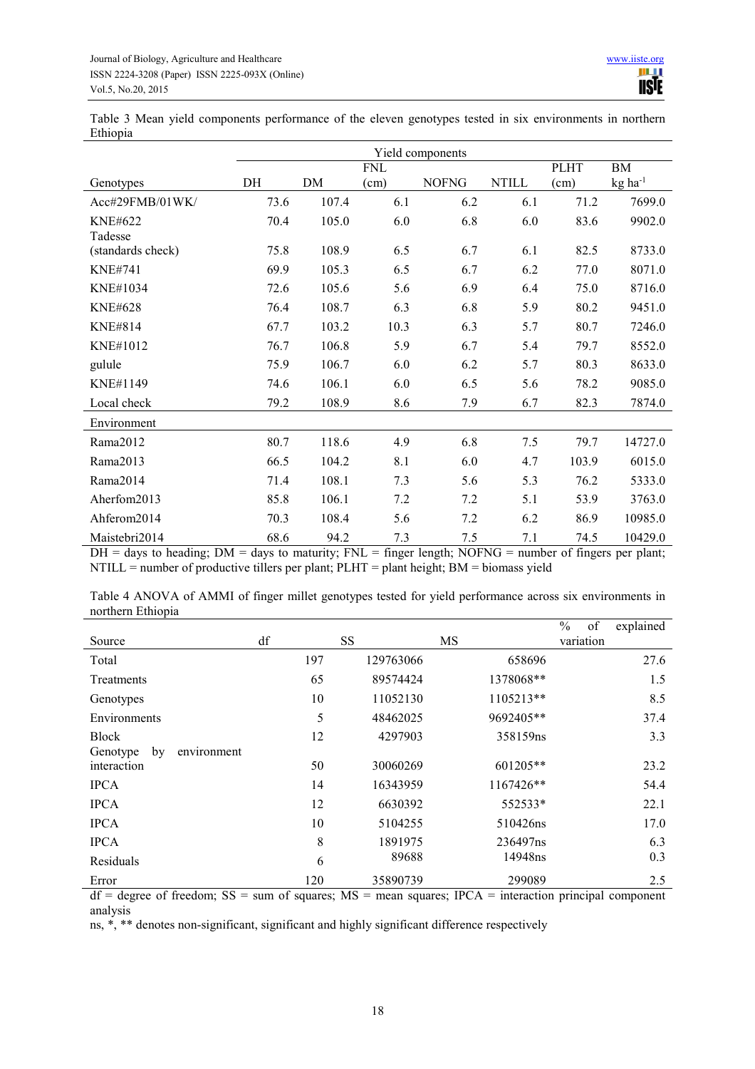Table 3 Mean yield components performance of the eleven genotypes tested in six environments in northern Ethiopia

|                   | Yield components |       |            |              |              |             |                       |
|-------------------|------------------|-------|------------|--------------|--------------|-------------|-----------------------|
|                   |                  |       | <b>FNL</b> |              |              | <b>PLHT</b> | BM                    |
| Genotypes         | DH               | DM    | (cm)       | <b>NOFNG</b> | <b>NTILL</b> | (cm)        | $kg$ ha <sup>-1</sup> |
| Acc#29FMB/01WK/   | 73.6             | 107.4 | 6.1        | 6.2          | 6.1          | 71.2        | 7699.0                |
| <b>KNE#622</b>    | 70.4             | 105.0 | 6.0        | 6.8          | 6.0          | 83.6        | 9902.0                |
| Tadesse           |                  |       |            |              |              |             |                       |
| (standards check) | 75.8             | 108.9 | 6.5        | 6.7          | 6.1          | 82.5        | 8733.0                |
| <b>KNE#741</b>    | 69.9             | 105.3 | 6.5        | 6.7          | 6.2          | 77.0        | 8071.0                |
| <b>KNE#1034</b>   | 72.6             | 105.6 | 5.6        | 6.9          | 6.4          | 75.0        | 8716.0                |
| <b>KNE#628</b>    | 76.4             | 108.7 | 6.3        | 6.8          | 5.9          | 80.2        | 9451.0                |
| <b>KNE#814</b>    | 67.7             | 103.2 | 10.3       | 6.3          | 5.7          | 80.7        | 7246.0                |
| <b>KNE#1012</b>   | 76.7             | 106.8 | 5.9        | 6.7          | 5.4          | 79.7        | 8552.0                |
| gulule            | 75.9             | 106.7 | 6.0        | 6.2          | 5.7          | 80.3        | 8633.0                |
| KNE#1149          | 74.6             | 106.1 | 6.0        | 6.5          | 5.6          | 78.2        | 9085.0                |
| Local check       | 79.2             | 108.9 | 8.6        | 7.9          | 6.7          | 82.3        | 7874.0                |
| Environment       |                  |       |            |              |              |             |                       |
| Rama2012          | 80.7             | 118.6 | 4.9        | 6.8          | 7.5          | 79.7        | 14727.0               |
| Rama2013          | 66.5             | 104.2 | 8.1        | 6.0          | 4.7          | 103.9       | 6015.0                |
| Rama2014          | 71.4             | 108.1 | 7.3        | 5.6          | 5.3          | 76.2        | 5333.0                |
| Aherfom2013       | 85.8             | 106.1 | 7.2        | 7.2          | 5.1          | 53.9        | 3763.0                |
| Ahferom2014       | 70.3             | 108.4 | 5.6        | 7.2          | 6.2          | 86.9        | 10985.0               |
| Maistebri2014     | 68.6             | 94.2  | 7.3        | 7.5          | 7.1          | 74.5        | 10429.0               |

 $DH =$  days to heading;  $DM =$  days to maturity;  $FNL =$  finger length; NOFNG = number of fingers per plant; NTILL = number of productive tillers per plant; PLHT = plant height; BM = biomass yield

| Table 4 ANOVA of AMMI of finger millet genotypes tested for yield performance across six environments in |  |  |  |  |  |  |
|----------------------------------------------------------------------------------------------------------|--|--|--|--|--|--|
| northern Ethiopia                                                                                        |  |  |  |  |  |  |

|                               |     |           |           | $\%$<br>of | explained |
|-------------------------------|-----|-----------|-----------|------------|-----------|
| Source                        | df  | SS        | <b>MS</b> | variation  |           |
| Total                         | 197 | 129763066 | 658696    |            | 27.6      |
| Treatments                    | 65  | 89574424  | 1378068** |            | 1.5       |
| Genotypes                     | 10  | 11052130  | 1105213** |            | 8.5       |
| Environments                  | 5   | 48462025  | 9692405** |            | 37.4      |
| <b>Block</b>                  | 12  | 4297903   | 358159ns  |            | 3.3       |
| Genotype<br>environment<br>by |     |           |           |            |           |
| interaction                   | 50  | 30060269  | 601205**  |            | 23.2      |
| <b>IPCA</b>                   | 14  | 16343959  | 1167426** |            | 54.4      |
| <b>IPCA</b>                   | 12  | 6630392   | 552533*   |            | 22.1      |
| <b>IPCA</b>                   | 10  | 5104255   | 510426ns  |            | 17.0      |
| <b>IPCA</b>                   | 8   | 1891975   | 236497ns  |            | 6.3       |
| Residuals                     | 6   | 89688     | 14948ns   |            | 0.3       |
| Error                         | 120 | 35890739  | 299089    |            | 2.5       |

 $df = degree of freedom$ ;  $SS = sum of squares$ ;  $MS = mean squares$ ;  $IPCA = interaction principal component$ analysis

ns, \*, \*\* denotes non-significant, significant and highly significant difference respectively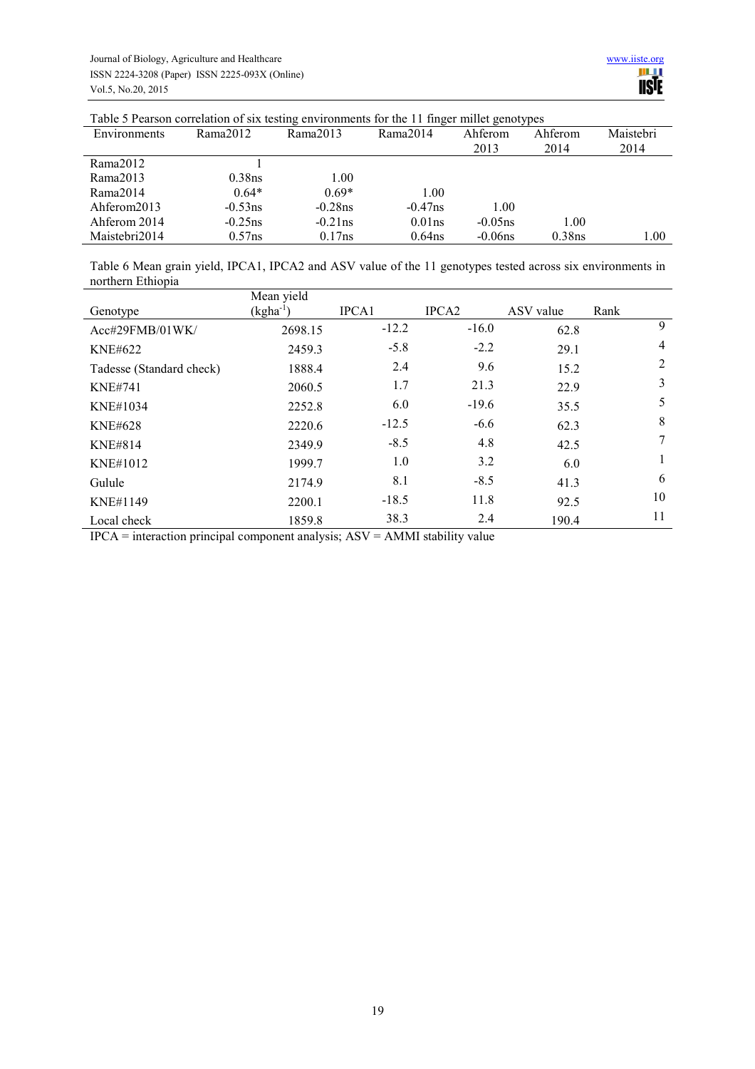| Table 5 Pearson correlation of six testing environments for the TT finger millet genotypes |            |            |            |            |           |           |
|--------------------------------------------------------------------------------------------|------------|------------|------------|------------|-----------|-----------|
| Environments                                                                               | Rama2012   | Rama2013   | Rama2014   | Ahferom    | Ahferom   | Maistebri |
|                                                                                            |            |            |            | 2013       | 2014      | 2014      |
| Rama2012                                                                                   |            |            |            |            |           |           |
| Rama2013                                                                                   | 0.38ns     | 1.00       |            |            |           |           |
| Rama2014                                                                                   | $0.64*$    | $0.69*$    | 1.00       |            |           |           |
| Ahferom2013                                                                                | $-0.53$ ns | $-0.28$ ns | $-0.47$ ns | 1.00       |           |           |
| Ahferom 2014                                                                               | $-0.25$ ns | $-0.21$ ns | $0.01$ ns  | $-0.05$ ns | 1.00      |           |
| Maistebri2014                                                                              | $0.57$ ns  | 0.17ns     | $0.64$ ns  | $-0.06$ ns | $0.38$ ns | 1.00      |

Table 5 Pearson correlation of six testing environments for the 11 finger millet genotypes

Table 6 Mean grain yield, IPCA1, IPCA2 and ASV value of the 11 genotypes tested across six environments in northern Ethiopia

|                          | Mean yield    |              |                   |           |                |
|--------------------------|---------------|--------------|-------------------|-----------|----------------|
| Genotype                 | $(kgha^{-1})$ | <b>IPCA1</b> | IPCA <sub>2</sub> | ASV value | Rank           |
| Acc#29FMB/01WK/          | 2698.15       | $-12.2$      | $-16.0$           | 62.8      | 9              |
| <b>KNE#622</b>           | 2459.3        | $-5.8$       | $-2.2$            | 29.1      | $\overline{4}$ |
| Tadesse (Standard check) | 1888.4        | 2.4          | 9.6               | 15.2      | 2              |
| <b>KNE#741</b>           | 2060.5        | 1.7          | 21.3              | 22.9      | 3              |
| KNE#1034                 | 2252.8        | 6.0          | $-19.6$           | 35.5      | 5              |
| <b>KNE#628</b>           | 2220.6        | $-12.5$      | $-6.6$            | 62.3      | 8              |
| <b>KNE#814</b>           | 2349.9        | $-8.5$       | 4.8               | 42.5      | 7              |
| KNE#1012                 | 1999.7        | 1.0          | 3.2               | 6.0       |                |
| Gulule                   | 2174.9        | 8.1          | $-8.5$            | 41.3      | 6              |
| KNE#1149                 | 2200.1        | $-18.5$      | 11.8              | 92.5      | 10             |
| Local check              | 1859.8        | 38.3         | 2.4               | 190.4     | 11             |

IPCA = interaction principal component analysis; ASV = AMMI stability value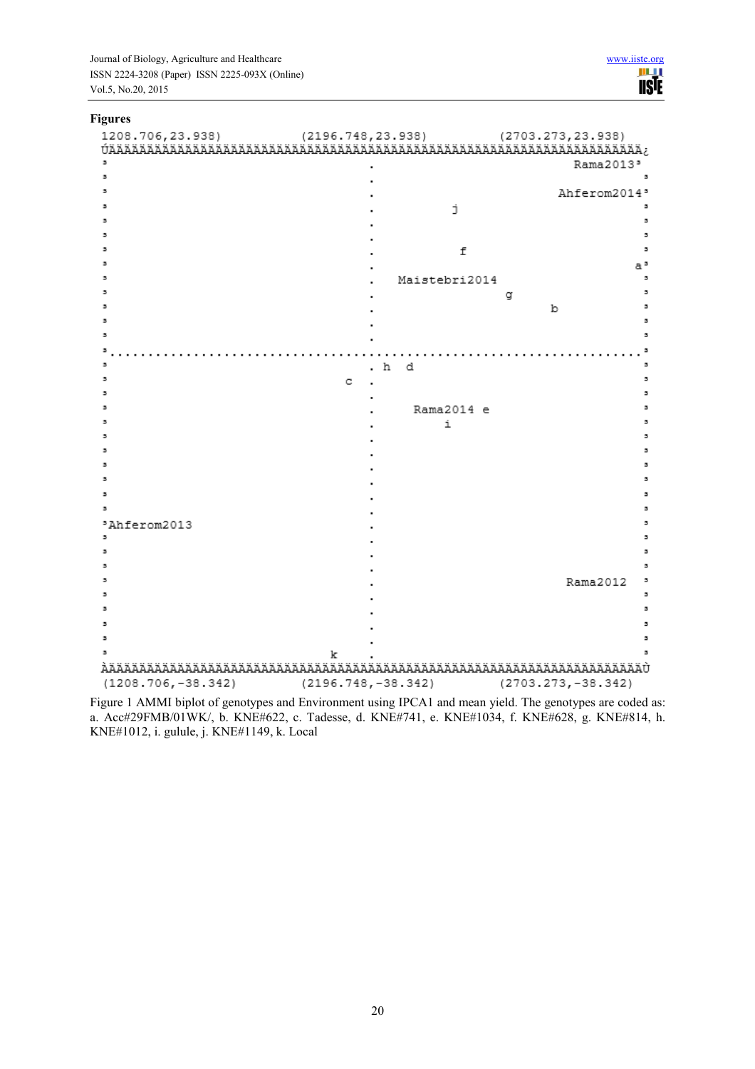Journal of Biology, Agriculture and Healthcare www.iiste.org<br>
ISSN 2224-3208 (Paper) ISSN 2225-093X (Online)<br>
Vol.5, No.20, 2015 ISSN 2224-3208 (Paper) ISSN 2225-093X (Online) Vol.5, No.20, 2015

# **Figures**

|                                              | Rama2013'                |
|----------------------------------------------|--------------------------|
|                                              |                          |
|                                              | Ahferom2014'             |
|                                              | j.                       |
|                                              | $\overline{\phantom{a}}$ |
|                                              |                          |
|                                              | f<br>э                   |
|                                              | a"                       |
|                                              | Maistebri2014            |
|                                              |                          |
|                                              | g<br>b                   |
|                                              | э                        |
|                                              | э                        |
|                                              |                          |
|                                              | з                        |
|                                              | .h d<br>з                |
| c                                            | з                        |
|                                              | з                        |
|                                              | Rama2014 e               |
|                                              | i<br>э                   |
|                                              | э                        |
|                                              |                          |
|                                              |                          |
|                                              |                          |
|                                              | э                        |
|                                              |                          |
| *Ahferom2013<br>٠                            | э                        |
|                                              | в                        |
|                                              |                          |
|                                              |                          |
|                                              | Rama2012                 |
|                                              |                          |
|                                              |                          |
|                                              |                          |
|                                              |                          |
| k                                            |                          |
|                                              |                          |
| $(1208.706,-38.342)$<br>$(2196.748,-38.342)$ | $(2703.273,-38.342)$     |

Figure 1 AMMI biplot of genotypes and Environment using IPCA1 and mean yield. The genotypes are coded as: a. Acc#29FMB/01WK/, b. KNE#622, c. Tadesse, d. KNE#741, e. KNE#1034, f. KNE#628, g. KNE#814, h. KNE#1012, i. gulule, j. KNE#1149, k. Local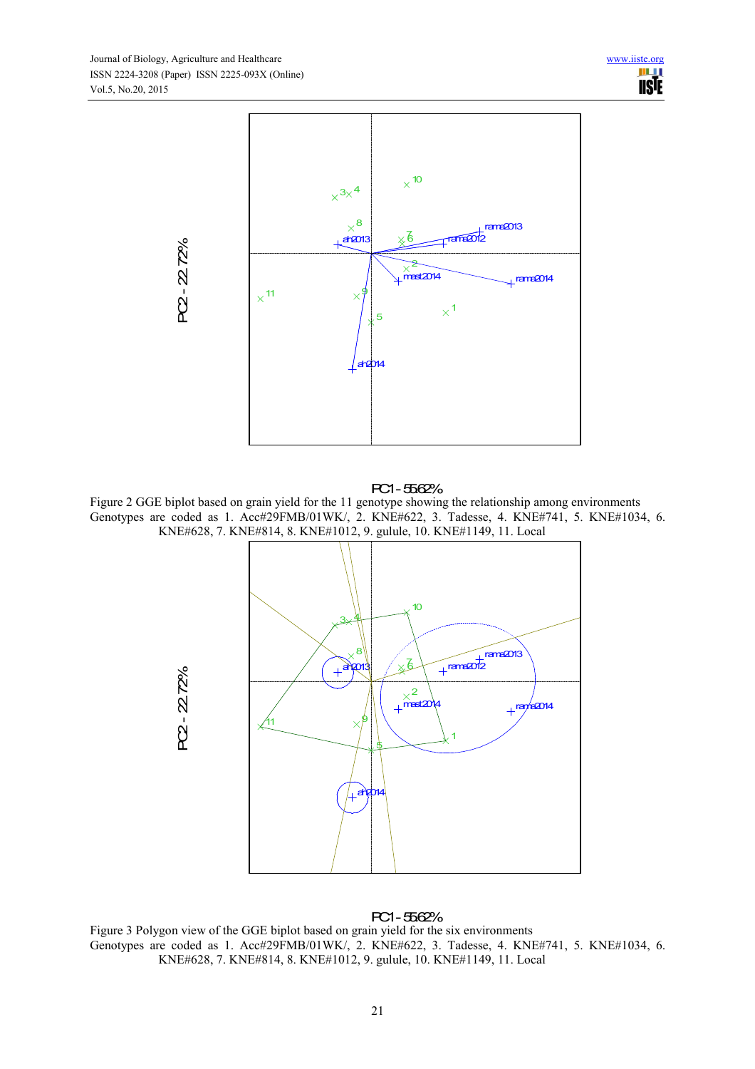

#### PC1 - 55.62%

Figure 2 GGE biplot based on grain yield for the 11 genotype showing the relationship among environments Genotypes are coded as 1. Acc#29FMB/01WK/, 2. KNE#622, 3. Tadesse, 4. KNE#741, 5. KNE#1034, 6. KNE#628, 7. KNE#814, 8. KNE#1012, 9. gulule, 10. KNE#1149, 11. Local



# PC1 - 55.62%

Figure 3 Polygon view of the GGE biplot based on grain yield for the six environments Genotypes are coded as 1. Acc#29FMB/01WK/, 2. KNE#622, 3. Tadesse, 4. KNE#741, 5. KNE#1034, 6. KNE#628, 7. KNE#814, 8. KNE#1012, 9. gulule, 10. KNE#1149, 11. Local